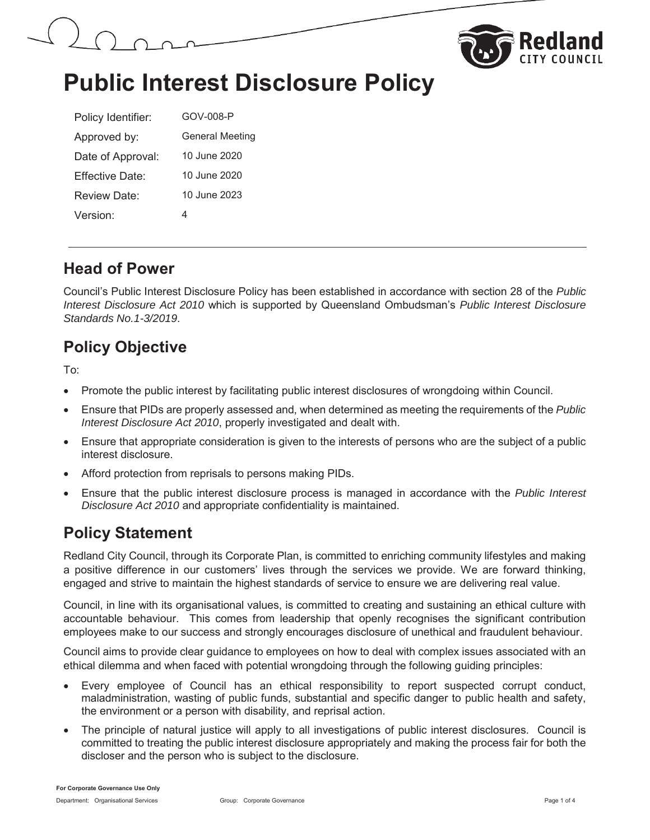



| Policy Identifier:   | GOV-008-P       |
|----------------------|-----------------|
| Approved by:         | General Meeting |
| Date of Approval:    | 10 June 2020    |
| Fffective Date:      | 10 June 2020    |
| Review Date:         | 10 June 2023    |
| Version <sup>.</sup> | 4               |

#### **Head of Power**

Council's Public Interest Disclosure Policy has been established in accordance with section 28 of the *Public Interest Disclosure Act 2010* which is supported by Queensland Ombudsman's *Public Interest Disclosure Standards No.1-3/2019*.

### **Policy Objective**

To:

- Promote the public interest by facilitating public interest disclosures of wrongdoing within Council.
- **Ensure that PIDs are properly assessed and, when determined as meeting the requirements of the** *Public* **<b>example** *Interest Disclosure Act 2010*, properly investigated and dealt with.
- Ensure that appropriate consideration is given to the interests of persons who are the subject of a public interest disclosure.
- Afford protection from reprisals to persons making PIDs.
- x Ensure that the public interest disclosure process is managed in accordance with the *Public Interest Disclosure Act 2010* and appropriate confidentiality is maintained.

### **Policy Statement**

Redland City Council, through its Corporate Plan, is committed to enriching community lifestyles and making a positive difference in our customers' lives through the services we provide. We are forward thinking, engaged and strive to maintain the highest standards of service to ensure we are delivering real value.

Council, in line with its organisational values, is committed to creating and sustaining an ethical culture with accountable behaviour. This comes from leadership that openly recognises the significant contribution employees make to our success and strongly encourages disclosure of unethical and fraudulent behaviour.

Council aims to provide clear guidance to employees on how to deal with complex issues associated with an ethical dilemma and when faced with potential wrongdoing through the following guiding principles:

- Every employee of Council has an ethical responsibility to report suspected corrupt conduct, maladministration, wasting of public funds, substantial and specific danger to public health and safety, the environment or a person with disability, and reprisal action.
- The principle of natural justice will apply to all investigations of public interest disclosures. Council is committed to treating the public interest disclosure appropriately and making the process fair for both the discloser and the person who is subject to the disclosure.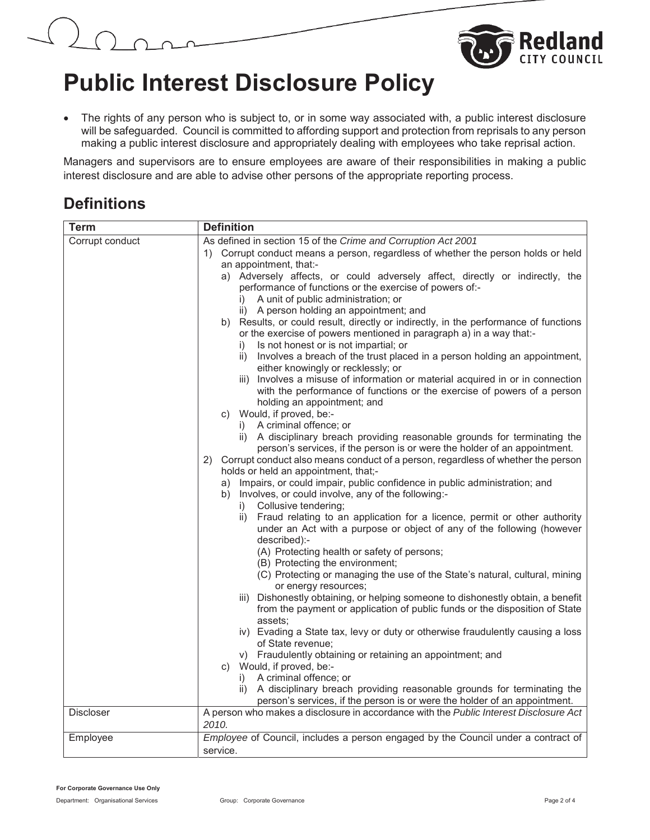

• The rights of any person who is subject to, or in some way associated with, a public interest disclosure will be safeguarded. Council is committed to affording support and protection from reprisals to any person making a public interest disclosure and appropriately dealing with employees who take reprisal action.

Managers and supervisors are to ensure employees are aware of their responsibilities in making a public interest disclosure and are able to advise other persons of the appropriate reporting process.

### **Definitions**

| Term             | <b>Definition</b>                                                                                                                                                                                                                                                                                                                                                                                                                                                                                                                                                                                                                                                                                                                                                                                                                                                                                                                                                                                                                                                                                                                                                                                                                                                                                                                                                                                                                                                                     |  |
|------------------|---------------------------------------------------------------------------------------------------------------------------------------------------------------------------------------------------------------------------------------------------------------------------------------------------------------------------------------------------------------------------------------------------------------------------------------------------------------------------------------------------------------------------------------------------------------------------------------------------------------------------------------------------------------------------------------------------------------------------------------------------------------------------------------------------------------------------------------------------------------------------------------------------------------------------------------------------------------------------------------------------------------------------------------------------------------------------------------------------------------------------------------------------------------------------------------------------------------------------------------------------------------------------------------------------------------------------------------------------------------------------------------------------------------------------------------------------------------------------------------|--|
| Corrupt conduct  | As defined in section 15 of the Crime and Corruption Act 2001<br>1) Corrupt conduct means a person, regardless of whether the person holds or held<br>an appointment, that:-<br>a) Adversely affects, or could adversely affect, directly or indirectly, the<br>performance of functions or the exercise of powers of:-<br>i) A unit of public administration; or<br>ii) A person holding an appointment; and<br>b) Results, or could result, directly or indirectly, in the performance of functions<br>or the exercise of powers mentioned in paragraph a) in a way that:-<br>Is not honest or is not impartial; or<br>i)<br>ii) Involves a breach of the trust placed in a person holding an appointment,<br>either knowingly or recklessly; or<br>iii) Involves a misuse of information or material acquired in or in connection<br>with the performance of functions or the exercise of powers of a person<br>holding an appointment; and<br>c) Would, if proved, be:-<br>i) A criminal offence; or<br>ii) A disciplinary breach providing reasonable grounds for terminating the<br>person's services, if the person is or were the holder of an appointment.<br>2)<br>holds or held an appointment, that;-<br>a) Impairs, or could impair, public confidence in public administration; and<br>b) Involves, or could involve, any of the following:-<br>Collusive tendering;<br>$\mathbf{i}$ )<br>ii) Fraud relating to an application for a licence, permit or other authority |  |
|                  |                                                                                                                                                                                                                                                                                                                                                                                                                                                                                                                                                                                                                                                                                                                                                                                                                                                                                                                                                                                                                                                                                                                                                                                                                                                                                                                                                                                                                                                                                       |  |
|                  | Corrupt conduct also means conduct of a person, regardless of whether the person                                                                                                                                                                                                                                                                                                                                                                                                                                                                                                                                                                                                                                                                                                                                                                                                                                                                                                                                                                                                                                                                                                                                                                                                                                                                                                                                                                                                      |  |
|                  |                                                                                                                                                                                                                                                                                                                                                                                                                                                                                                                                                                                                                                                                                                                                                                                                                                                                                                                                                                                                                                                                                                                                                                                                                                                                                                                                                                                                                                                                                       |  |
|                  | under an Act with a purpose or object of any of the following (however<br>described):-                                                                                                                                                                                                                                                                                                                                                                                                                                                                                                                                                                                                                                                                                                                                                                                                                                                                                                                                                                                                                                                                                                                                                                                                                                                                                                                                                                                                |  |
|                  | (A) Protecting health or safety of persons;<br>(B) Protecting the environment;<br>(C) Protecting or managing the use of the State's natural, cultural, mining                                                                                                                                                                                                                                                                                                                                                                                                                                                                                                                                                                                                                                                                                                                                                                                                                                                                                                                                                                                                                                                                                                                                                                                                                                                                                                                         |  |
|                  | or energy resources;                                                                                                                                                                                                                                                                                                                                                                                                                                                                                                                                                                                                                                                                                                                                                                                                                                                                                                                                                                                                                                                                                                                                                                                                                                                                                                                                                                                                                                                                  |  |
|                  | iii) Dishonestly obtaining, or helping someone to dishonestly obtain, a benefit<br>from the payment or application of public funds or the disposition of State<br>assets:                                                                                                                                                                                                                                                                                                                                                                                                                                                                                                                                                                                                                                                                                                                                                                                                                                                                                                                                                                                                                                                                                                                                                                                                                                                                                                             |  |
|                  | iv) Evading a State tax, levy or duty or otherwise fraudulently causing a loss<br>of State revenue;                                                                                                                                                                                                                                                                                                                                                                                                                                                                                                                                                                                                                                                                                                                                                                                                                                                                                                                                                                                                                                                                                                                                                                                                                                                                                                                                                                                   |  |
|                  | v) Fraudulently obtaining or retaining an appointment; and<br>c) Would, if proved, be:-                                                                                                                                                                                                                                                                                                                                                                                                                                                                                                                                                                                                                                                                                                                                                                                                                                                                                                                                                                                                                                                                                                                                                                                                                                                                                                                                                                                               |  |
|                  | i) A criminal offence; or<br>ii) A disciplinary breach providing reasonable grounds for terminating the<br>person's services, if the person is or were the holder of an appointment.                                                                                                                                                                                                                                                                                                                                                                                                                                                                                                                                                                                                                                                                                                                                                                                                                                                                                                                                                                                                                                                                                                                                                                                                                                                                                                  |  |
| <b>Discloser</b> | A person who makes a disclosure in accordance with the Public Interest Disclosure Act<br>2010.                                                                                                                                                                                                                                                                                                                                                                                                                                                                                                                                                                                                                                                                                                                                                                                                                                                                                                                                                                                                                                                                                                                                                                                                                                                                                                                                                                                        |  |
| Employee         | Employee of Council, includes a person engaged by the Council under a contract of<br>service.                                                                                                                                                                                                                                                                                                                                                                                                                                                                                                                                                                                                                                                                                                                                                                                                                                                                                                                                                                                                                                                                                                                                                                                                                                                                                                                                                                                         |  |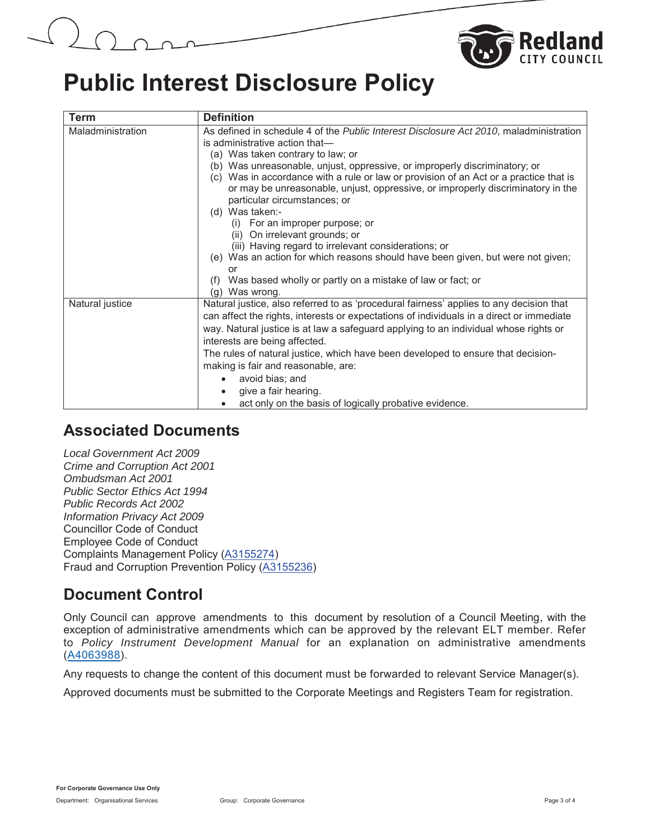

| <b>Term</b>       | <b>Definition</b>                                                                                                                                                                                                                                                                                                                                                                                                                                                                                                                                                                                                                                                                                                                                                                       |
|-------------------|-----------------------------------------------------------------------------------------------------------------------------------------------------------------------------------------------------------------------------------------------------------------------------------------------------------------------------------------------------------------------------------------------------------------------------------------------------------------------------------------------------------------------------------------------------------------------------------------------------------------------------------------------------------------------------------------------------------------------------------------------------------------------------------------|
| Maladministration | As defined in schedule 4 of the Public Interest Disclosure Act 2010, maladministration<br>is administrative action that-<br>(a) Was taken contrary to law; or<br>(b) Was unreasonable, unjust, oppressive, or improperly discriminatory; or<br>(c) Was in accordance with a rule or law or provision of an Act or a practice that is<br>or may be unreasonable, unjust, oppressive, or improperly discriminatory in the<br>particular circumstances; or<br>(d) Was taken:-<br>(i) For an improper purpose; or<br>(ii) On irrelevant grounds; or<br>(iii) Having regard to irrelevant considerations; or<br>(e) Was an action for which reasons should have been given, but were not given;<br>or<br>Was based wholly or partly on a mistake of law or fact; or<br>(f)<br>(g) Was wrong. |
| Natural justice   | Natural justice, also referred to as 'procedural fairness' applies to any decision that<br>can affect the rights, interests or expectations of individuals in a direct or immediate<br>way. Natural justice is at law a safeguard applying to an individual whose rights or<br>interests are being affected.<br>The rules of natural justice, which have been developed to ensure that decision-<br>making is fair and reasonable, are:<br>avoid bias; and<br>give a fair hearing.<br>act only on the basis of logically probative evidence.                                                                                                                                                                                                                                            |

#### **Associated Documents**

*Local Government Act 2009 Crime and Corruption Act 2001 Ombudsman Act 2001 Public Sector Ethics Act 1994 Public Records Act 2002 Information Privacy Act 2009* Councillor Code of Conduct Employee Code of Conduct Complaints Management Policy (A3155274) Fraud and Corruption Prevention Policy (A3155236)

### **Document Control**

Only Council can approve amendments to this document by resolution of a Council Meeting, with the exception of administrative amendments which can be approved by the relevant ELT member. Refer to *Policy Instrument Development Manual* for an explanation on administrative amendments (A4063988).

Any requests to change the content of this document must be forwarded to relevant Service Manager(s).

Approved documents must be submitted to the Corporate Meetings and Registers Team for registration.